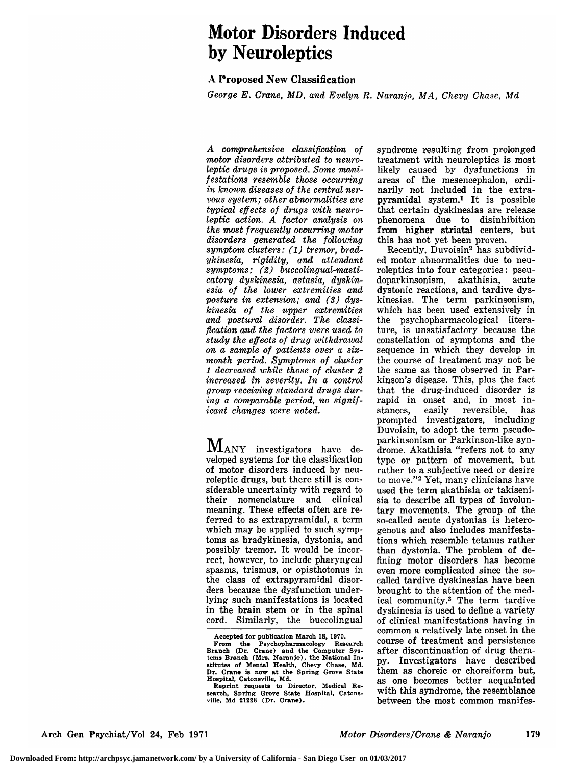# Motor Disorders Induced by Neuroleptics

### A Proposed New Classification

George E. Crane, MD, and Evelyn R. Naranjo, MA, Chevy Chase, Md

A comprehensive classification of motor disorders attributed to neuroleptic drugs is proposed. Some manifestations resemble those occurring in known diseases of the central nervous system; other abnormalities are typical effects of drugs with neuroleptic action. A factor analysis on the most frequently occurring motor disorders generated the following symptom clusters: (1) tremor, bradykinesia, rigidity, and attendant symptoms; (2) buccolingual-masticatory dyskinesia, astasia, dyskinesia of the lower extremities and posture in extension; and (3) dyskinesia of the upper extremities and postural disorder. The classification and the factors were used to study the effects of drug withdrawal on a sample of patients over <sup>a</sup> sixmonth period. Symptoms of cluster <sup>1</sup> decreased while those of cluster 2 increased in severity. In a control group receiving standard drugs during a comparable period, no significant changes were noted.

 $M_{\rm ANY}$  investigators have developed systems for the classification of motor disorders induced by neuroleptic drugs, but there still is considerable uncertainty with regard to their nomenclature and clinical meaning. These effects often are referred to as extrapyramidal, <sup>a</sup> term which may be applied to such symptoms as bradykinesia, dystonia, and possibly tremor. It would be incorrect, however, to include pharyngeal spasms, trismus, or opisthotonus in the class of extrapyramidal disorders because the dysfunction underlying such manifestations is located in the brain stem or in the spinal cord. Similarly, the buccolingual

Accepted for publication March 18, 1970.<br>From the Psychopharmacology Research

syndrome resulting from prolonged treatment with neuroleptics is most likely caused by dysfunctions in areas of the mesencephalon, ordinarily not included in the extrapyramidal system.1 It is possible that certain dyskinesias are release phenomena due to disinhibition from higher striatal centers, but this has not yet been proven.

 $Recently, Duvoisin<sup>2</sup> has subdivid$ ed motor abnormalities due to neuroleptics into four categories : pseudoparkinsonism, akathisia, acute dystonic reactions, and tardive dyskinesias. The term parkinsonism, which has been used extensively in the psychopharmacological literature, is unsatisfactory because the constellation of symptoms and the sequence in which they develop in the course of treatment may not be the same as those observed in Parkinson's disease. This, plus the fact that the drug-induced disorder is rapid in onset and, in most in-<br>stances, easily reversible, has reversible, prompted investigators, including Duvoisin, to adopt the term pseudoparkinsonism or Parkinson-like syndrome. Akathisia "refers not to any type or pattern of movement, but rather to a subjective need or desire to move."2 Yet, many clinicians have used the term akathisia or takisenisia to describe all types of involuntary movements. The group of the so-called acute dystonias is heterogenous and also includes manifestations which resemble tetanus rather than dystonia. The problem of defining motor disorders has become even more complicated since the socalled tardive dyskinesias have been brought to the attention of the medical community.3 The term tardive dyskinesia is used to define a variety of clinical manifestations having in common <sup>a</sup> relatively late onset in the course of treatment and persistence after discontinuation of drug therapy. Investigators have described them as choreic or choreiform but, as one becomes better acquainted with this syndrome, the resemblance between the most common manifes-

From the Psychopharmacology Research Branch (Dr. Crane) and the Computer Systems Branch (Mrs. Naranjo), the National Institutes of Mental Health, Chevy Chase, Md. Dr. Crane is now at the Spring Grove State Hospital, Catonsville, Md.

Reprint requests to Director, Medical Reearch, Spring Grove State Hospital, Catonsville, Md 21228 (Dr. Crane).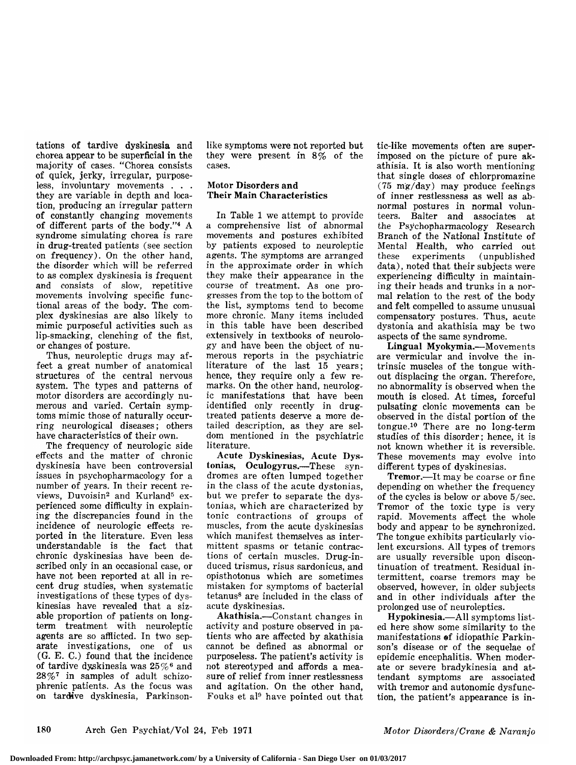tations of tardive dyskinesia and chorea appear to be superficial in the majority of cases. "Chorea consists of quick, jerky, irregular, purposeless, involuntary movements . . . they are variable in depth and location, producing an irregular pattern of constantly changing movements of different parts of the body."4 A syndrome simulating chorea is rare in drug-treated patients (see section on frequency). On the other hand, the disorder which will be referred to as complex dyskinesia is frequent and consists of slow, repetitive movements involving specific functional areas of the body. The complex dyskinesias are also likely to mimic purposeful activities such as lip-smacking, clenching of the fist, or changes of posture.

Thus, neuroleptic drugs may affect a great number of anatomical structures of the central nervous system. The types and patterns of motor disorders are accordingly numerous and varied. Certain symptoms mimic those of naturally occurring neurological diseases; others have characteristics of their own.

The frequency of neurologic side effects and the matter of chronic dyskinesia have been controversial issues in psychopharmacology for <sup>a</sup> number of years. In their recent reviews, Duvoisin<sup>2</sup> and Kurland<sup>5</sup> experienced some difficulty in explaining the discrepancies found in the incidence of neurologic effects reported in the literature. Even less understandable is the fact that chronic dyskinesias have been de scribed only in an occasional case, or have not been reported at all in recent drug studies, when systematic investigations of these types of dyskinesias have revealed that a sizable proportion of patients on longterm treatment with neuroleptic agents are so afflicted. In two separate investigations, one of us (G. E. C.) found that the incidence of tardive dyskinesia was  $25\%$ <sup>6</sup> and  $28\%$ <sup>7</sup> in samples of adult schizophrenic patients. As the focus was on tardive dyskinesia, Parkinsonlike symptoms were not reported but they were present in 8% of the cases.

#### Motor Disorders and Their Main Characteristics

In Table <sup>1</sup> we attempt to provide <sup>a</sup> comprehensive list of abnormal movements and postures exhibited by patients exposed to neuroleptic agents. The symptoms are arranged in the approximate order in which they make their appearance in the course of treatment. As one progresses from the top to the bottom of the list, symptoms tend to become more chronic. Many items included in this table have been described extensively in textbooks of neurology and have been the object of numerous reports in the psychiatric literature of the last 15 years; hence, they require only a few remarks. On the other hand, neurologic manifestations that have been identified only recently in drugtreated patients deserve a more detailed description, as they are seldom mentioned in the psychiatric literature.

Acute Dyskinesias, Acute Dystonias, Oculogyrus.—These syndromes are often lumped together in the class of the acute dystonias, but we prefer to separate the dystonias, which are characterized by tonic contractions of groups of muscles, from the acute dyskinesias which manifest themselves as intermittent spasms or tetanic contractions of certain muscles. Drug-in duced trismus, risus sardonicus, and opisthotonus which are sometimes mistaken for symptoms of bacterial tetanus8 are included in the class of acute dyskinesias.

Akathisia.—Constant changes in activity and posture observed in pa tients who are affected by akathisia cannot be defined as abnormal or purposeless. The patient's activity is not stereotyped and affords a measure of relief from inner restlessness and agitation. On the other hand, Fouks et al9 have pointed out that tic-like movements often are superimposed on the picture of pure akathisia. It is also worth mentioning that single doses of chlorpromazine (75 mg/day) may produce feelings of inner restlessness as well as abnormal postures in normal volun-<br>teers. Balter and associates at Balter and associates at the Psychopharmacology Research Branch of the National Institute of Mental Health, who carried out (unpublished data), noted that their subjects were experiencing difficulty in maintaining their heads and trunks in a normal relation to the rest of the body and felt compelled to assume unusual compensatory postures. Thus, acute dystonia and akathisia may be two aspects of the same syndrome.

Lingual Myokymia.—Movements are vermicular and involve the intrinsic muscles of the tongue without displacing the organ. Therefore, no abnormality is observed when the mouth is closed. At times, forceful pulsating clonic movements can be observed in the distal portion of the tongue.10 There are no long-term studies of this disorder; hence, it is not known whether it is reversible. These movements may evolve into different types of dyskinesias.

Tremor.—It may be coarse or fine depending on whether the frequency of the cycles is below or above 5/sec. Tremor of the toxic type is very rapid. Movements affect the whole body and appear to be synchronized. The tongue exhibits particularly violent excursions. All types of tremors are usually reversible upon discontinuation of treatment. Residual in termittent, coarse tremors may be observed, however, in older subjects and in other individuals after the prolonged use of neuroleptics.

Hypokinesia.—All symptoms listed here show some similarity to the manifestations of idiopathic Parkinson's disease or of the sequelae of epidemic encephalitis. When moderate or severe bradykinesia and attendant symptoms are associated with tremor and autonomic dysfunction, the patient's appearance is in-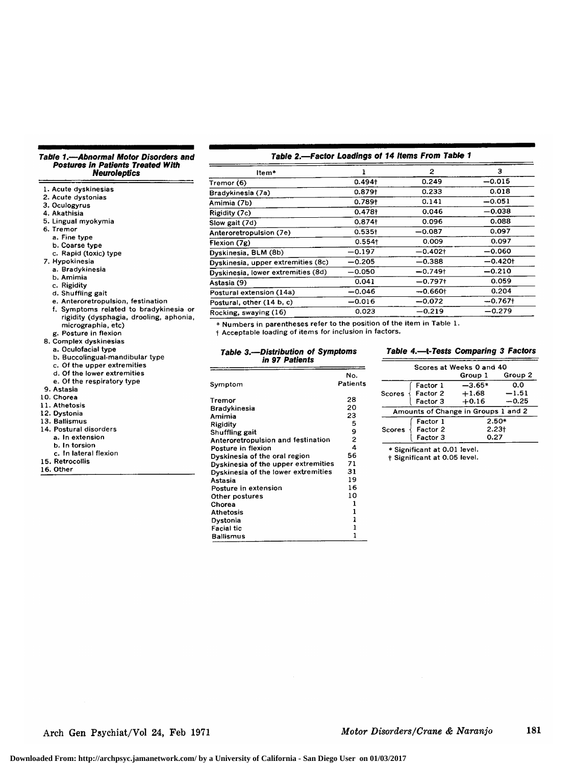## Table 1.—Abnormal Motor Disorders and Postures In Patients Treated With Neuroleptics

|                                         | Trer                                                          |
|-----------------------------------------|---------------------------------------------------------------|
| 1. Acute dyskinesias                    | Bra                                                           |
| 2. Acute dystonias                      |                                                               |
| 3. Oculogyrus                           | Ami                                                           |
| 4. Akathisia                            | Rigi                                                          |
| 5. Lingual myokymia                     | Slow                                                          |
| 6. Tremor                               | Ante                                                          |
| a. Fine type                            | Flex                                                          |
| b. Coarse type                          |                                                               |
| c. Rapid (toxic) type                   | Dysl                                                          |
| 7. Hypokinesia                          | Dysl                                                          |
| a. Bradykinesia                         | Dysl                                                          |
| b. Amimia                               | Asta                                                          |
| c. Rigidity                             |                                                               |
| d. Shuffling gait                       | Post                                                          |
| e. Anteroretropulsion, festination      | Post                                                          |
| f. Symptoms related to bradykinesia or  | Roc                                                           |
| rigidity (dysphagia, drooling, aphonia, | $\ast$                                                        |
| micrographia, etc)                      | t١                                                            |
| g. Posture in flexion                   |                                                               |
|                                         |                                                               |
| 8. Complex dyskinesias                  |                                                               |
| a. Oculofacial type                     |                                                               |
| b. Buccolingual-mandibular type         |                                                               |
| c. Of the upper extremities             |                                                               |
| d. Of the lower extremities             | 7                                                             |
| e. Of the respiratory type              | Sγπ                                                           |
| 9. Astasia                              |                                                               |
| 10. Chorea                              | Trei                                                          |
| 11. Athetosis                           |                                                               |
| 12. Dystonia                            |                                                               |
| 13. Ballismus                           |                                                               |
| 14. Postural disorders                  |                                                               |
| a. In extension                         |                                                               |
| b. In torsion                           |                                                               |
| c. In lateral flexion                   |                                                               |
| 15. Retrocollis                         | <b>Bra</b><br>Ami<br>Rigi<br>Shu<br>Anti<br>Pos<br>Dys<br>Dys |
| 16. Other                               | Dys<br>Ast                                                    |

| Item*                              |                      | $\overline{c}$ | з          |
|------------------------------------|----------------------|----------------|------------|
| Tremor (6)                         | 0.494 <sub>†</sub>   | 0.249          | $-0.015$   |
| Bradykinesia (7a)                  | $0.879+$             | 0.233          | 0.018      |
| Amimia (7b)                        | 0.789 <sup>†</sup>   | 0.141          | $-0.051$   |
| Rigidity (7c)                      | 0.478 <sup>†</sup>   | 0.046          | $-0.038$   |
| Slow gait (7d)                     | $0.874 +$            | 0.096          | 0.088      |
| Anteroretropulsion (7e)            | $0.535\dagger$       | $-0.087$       | 0.097      |
| Flexion (7g)                       | $0.554$ <sup>+</sup> | 0.009          | 0.097      |
| Dyskinesia, BLM (8b)               | $-0.197$             | $-0.402$ t     | $-0.060$   |
| Dyskinesia, upper extremities (8c) | $-0.205$             | $-0.388$       | $-0.420$ t |
| Dyskinesia, lower extremities (8d) | $-0.050$             | $-0.749$ t     | $-0.210$   |
| Astasia (9)                        | 0.041                | $-0.797$ t     | 0.059      |
| Postural extension (14a)           | $-0.046$             | $-0.660$ t     | 0.204      |
| Postural, other (14 b, c)          | $-0.016$             | $-0.072$       | $-0.767$ † |
| Rocking, swaying (16)              | 0.023                | $-0.219$       | —0.279     |
|                                    |                      |                |            |

Table 2.—Factor Loadings of 14 Items From Table <sup>1</sup>

Numbers in parentheses refer to the position of the item in Table 1.

<sup>1</sup> Acceptable loading of items for inclus ion in factors.

| <b>Table 3.—Distribution of Symptoms</b> |  |
|------------------------------------------|--|
| in 97 Patients                           |  |

|                                     | No.          |
|-------------------------------------|--------------|
| Symptom                             | Patients     |
| Tremor                              | 28           |
| Bradykinesia                        | 20           |
| Amimia                              | 23           |
| Rigidity                            | 5            |
| Shuffling gait                      | 9            |
| Anteroretropulsion and festination  | $\mathbf{2}$ |
| Posture in flexion                  | 4            |
| Dyskinesia of the oral region       | 56           |
| Dyskinesia of the upper extremities | 71           |
| Dyskinesia of the lower extremities | 31           |
| Astasia                             | 19           |
| Posture in extension                | 16           |
| Other postures                      | 10           |
| Chorea                              | 1            |
| <b>Athetosis</b>                    | 1            |
| Dystonia                            | 1            |
| <b>Facial tic</b>                   | 1            |
| <b>Ballismus</b>                    | 1            |

#### Table 4.—l-Tests Comparing 3 Factors

| Scores at Weeks 0 and 40 |                              |                                     |         |  |
|--------------------------|------------------------------|-------------------------------------|---------|--|
|                          |                              | Group I                             | Group 2 |  |
|                          | Factor 1                     | $-3.65*$                            | 0.0     |  |
| Scores                   | Factor 2                     | $+1.68$                             | $-1.51$ |  |
|                          | Factor 3                     | $+0.16$                             | $-0.25$ |  |
|                          |                              | Amounts of Change in Groups 1 and 2 |         |  |
|                          | Factor 1                     | $2.50*$<br>2.23†                    |         |  |
| Scores                   | Factor 2                     |                                     |         |  |
|                          | Factor 3                     | 0.27                                |         |  |
|                          | * Significant at 0.01 level. |                                     |         |  |

t Significant at 0.05 level.

Arch Gen Psychiat/Vol 24, Feb 1971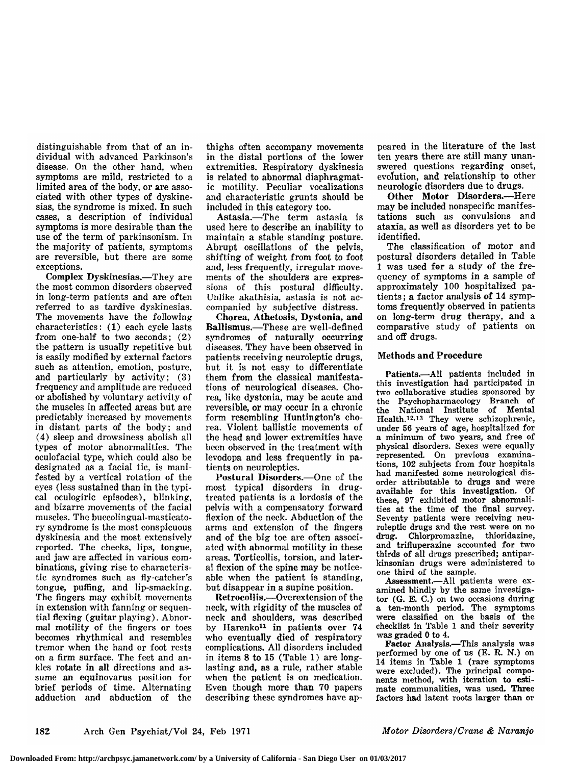distinguishable from that of an individual with advanced Parkinson's disease. On the other hand, when symptoms are mild, restricted to a limited area of the body, or are associated with other types of dyskinesias, the syndrome is mixed. In such cases, a description of individual symptoms is more desirable than the use of the term of parkinsonism. In the majority of patients, symptoms are reversible, but there are some exceptions.

Complex Dyskinesias.—They are the most common disorders observed in long-term patients and are often referred to as tardive dyskinesias. The movements have the following characteristics: (1) each cycle lasts from one-half to two seconds; (2) the pattern is usually repetitive but is easily modified by external factors such as attention, emotion, posture, and particularly by activity; (3) frequency and amplitude are reduced or abolished by voluntary activity of the muscles in affected areas but are predictably increased by movements in distant parts of the body; and (4) sleep and drowsiness abolish all types of motor abnormalities. The oculofacial type, which could also be designated as a facial tic, is manifested by <sup>a</sup> vertical rotation of the eyes (less sustained than in the typical oculogiric episodes), blinking, and bizarre movements of the facial muscles. The buccolingual-masticatory syndrome is the most conspicuous dyskinesia and the most extensively reported. The cheeks, lips, tongue, and jaw are affected in various com binations, giving rise to characteristic syndromes such as fly-catcher's tongue, puffing, and lip-smacking. The fingers may exhibit movements in extension with fanning or sequential flexing (guitar playing). Abnormal motility of the fingers or toes becomes rhythmical and resembles tremor when the hand or foot rests on a firm surface. The feet and an kles rotate in all directions and assume an equinovarus position for brief periods of time. Alternating adduction and abduction of the thighs often accompany movements in the distal portions of the lower extremities. Respiratory dyskinesia is related to abnormal diaphragmatic motility. Peculiar vocalizations and characteristic grunts should be included in this category too.

Astasia.—The term astasia is used here to describe an inability to maintain <sup>a</sup> stable standing posture. Abrupt oscillations of the pelvis, shifting of weight from foot to foot and, less frequently, irregular movements of the shoulders are expressions of this postural difficulty. Unlike akathisia, astasia is not accompanied by subjective distress.

Chorea, Athetosis, Dystonia, and Ballismus.—These are well-defined syndromes of naturally occurring diseases. They have been observed in patients receiving neuroleptic drugs, but it is not easy to differentiate them from the classical manifestations of neurological diseases. Chorea, like dystonia, may be acute and reversible, or may occur in a chronic form resembling Huntington's chorea. Violent ballistic movements of the head and lower extremities have been observed in the treatment with levodopa and less frequently in patients on neuroleptics.

Postural Disorders.—One of the most typical disorders in drugtreated patients is a lordosis of the pelvis with <sup>a</sup> compensatory forward flexion of the neck. Abduction of the arms and extension of the fingers and of the big toe are often associated with abnormal motility in these areas. Torticollis, torsion, and lateral flexion of the spine may be noticeable when the patient is standing, but disappear in a supine position.

Retrocollis.—Overextension of the neck, with rigidity of the muscles of neck and shoulders, was described by Harenko<sup>11</sup> in patients over 74 who eventually died of respiratory complications. All disorders included in items <sup>8</sup> to <sup>15</sup> (Table 1) are longlasting and, as a rule, rather stable when the patient is on medication. Even though more than 70 papers describing these syndromes have appeared in the literature of the last ten years there are still many unanswered questions regarding onset, evolution, and relationship to other neurologic disorders due to drugs.

Other Motor Disorders.—Here may be included nonspecific manifestations such as convulsions and ataxia, as well as disorders yet to be identified.

The classification of motor and postural disorders detailed in Table 1 was used for a study of the frequency of symptoms in <sup>a</sup> sample of approximately 100 hospitalized pa tients; a factor analysis of  $14$  symptoms frequently observed in patients on long-term drug therapy, and <sup>a</sup> comparative study of patients on and off drugs.

#### Methods and Procedure

Patients.—All patients included in this investigation had participated in two collaborative studies sponsored by the Psychopharmacology Branch of National Institute of Mental Health.<sup>12,13</sup> They were schizophrenic, under <sup>56</sup> years of age, hospitalized for a minimum of two years, and free of physical disorders. Sexes were equally represented. On previous examinations, <sup>102</sup> subjects from four hospitals had manifested some neurological disorder attributable to drugs and were available for this investigation. Of these, 97 exhibited motor abnormalities at the time of the final survey. Seventy patients were receiving neuroleptic drugs and the rest were on no drug. Chlorpromazine, thioridazine, and trifluperazine accounted for two thirds of all drugs prescribed; antiparkinsonian drugs were administered to one third of the sample.

Assessment.--- All patients were examined blindly by the same investigator (G. E. C.) on two occasions during a ten-month period. The symptoms were classified on the basis of the checklist in Table <sup>1</sup> and their severity was graded 0 to 4.

Factor Analysis.—This analysis was performed by one of us (E. R. N.) on <sup>14</sup> items in Table <sup>1</sup> (rare symptoms were excluded). The principal components method, with iteration to estimate communalities, was used. Three factors had latent roots larger than or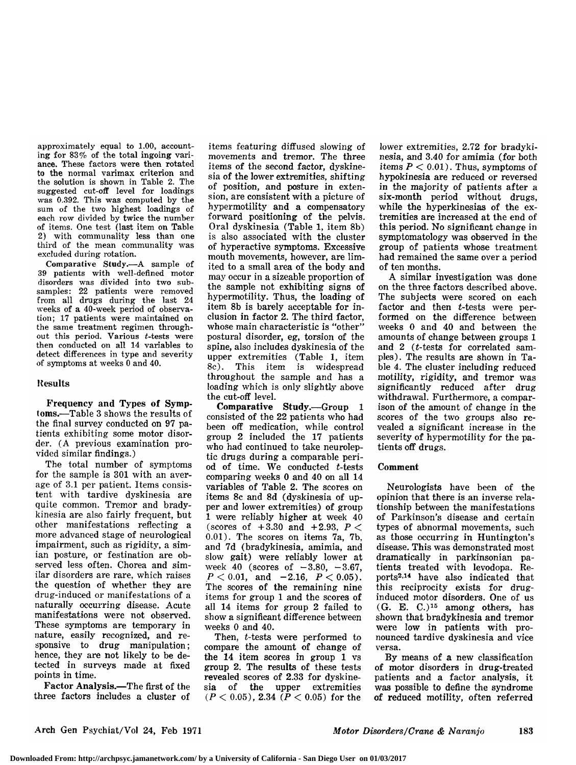approximately equal to  $1.00$ , accounting for  $83\%$  of the total ingoing variance. These factors were then rotated to the normal varimax criterion and the solution is shown in Table 2. The suggested cut-off level for loadings was 0.392. This was computed by the sum of the two highest loadings of each row divided by twice the number of items. One test (last item on Table 2) with communality less than one third of the mean communality was excluded during rotation.

Comparative Study.—A sample of <sup>39</sup> patients with well-defined motor disorders was divided into two subsamples: 22 patients were removed from all drugs during the last <sup>24</sup> weeks of a 40-week period of observation; 17 patients were maintained on the same treatment regimen throughout this period. Various  $t$ -tests were then conducted on all 14 variables to detect differences in type and severity of symptoms at weeks <sup>0</sup> and 40.

#### Results

Frequency and Types of Symptoms.—Table <sup>3</sup> shows the results of the final survey conducted on 97 patients exhibiting some motor disorder. (A previous examination provided similar findings.)

The total number of symptoms for the sample is 301 with an average of 3.1 per patient. Items consistent with tardive dyskinesia are quite common. Tremor and bradykinesia are also fairly frequent, but other manifestations reflecting <sup>a</sup> more advanced stage of neurological impairment, such as rigidity, a simian posture, or festination are observed less often. Chorea and sim ilar disorders are rare, which raises the question of whether they are drug-induced or manifestations of a naturally occurring disease. Acute manifestations were not observed. These symptoms are temporary in nature, easily recognized, and responsive to drug manipulation; hence, they are not likely to be detected in surveys made at fixed points in time.

Factor Analysis.—The first of the three factors includes a cluster of items featuring diffused slowing of movements and tremor. The three items of the second factor, dyskinesia of the lower extremities, shifting of position, and posture in extension, are consistent with a picture of hypermotility and a compensatory forward positioning of the pelvis. Oral dyskinesia (Table 1, item 8b) is also associated with the cluster of hyperactive symptoms. Excessive mouth movements, however, are limited to <sup>a</sup> small area of the body and may occur in <sup>a</sup> sizeable proportion of the sample not exhibiting signs of hypermotility. Thus, the loading of item 8b is barely acceptable for inclusion in factor 2. The third factor, whose main characteristic is "other" postural disorder, eg, torsion of the spine, also includes dyskinesia of the upper extremities (Table 1, item 8c). This item is widespread throughout the sample and has <sup>a</sup> loading which is only slightly above the cut-off level.

Comparative Study.—Group <sup>1</sup> consisted of the <sup>22</sup> patients who had been off medication, while control group 2 included the 17 patients who had continued to take neuroleptic drugs during <sup>a</sup> comparable peri od of time. We conducted  $t$ -tests comparing weeks 0 and 40 on all 14 variables of Table 2. The scores on items 8c and 8d (dyskinesia of upper and lower extremities) of group <sup>1</sup> were reliably higher at week 40 (scores of  $+3.30$  and  $+2.93$ ,  $P \leq$ 0.01). The scores on items 7a, 7b, and 7d (bradykinesia, amimia, and slow gait) were reliably lower at week 40 (scores of  $-3.80, -3.67$ ,  $P < 0.01$ , and  $-2.16$ ,  $P < 0.05$ ). The scores of the remaining nine items for group <sup>1</sup> and the scores of all <sup>14</sup> items for group <sup>2</sup> failed to show a significant difference between weeks 0 and 40.

Then, t-tests were performed to compare the amount of change of the <sup>14</sup> item scores in group <sup>1</sup> vs group 2. The results of these tests revealed scores of 2.33 for dyskinesia of the upper extremities  $(P < 0.05)$ , 2.34  $(P < 0.05)$  for the

lower extremities, 2.72 for bradykinesia, and 3.40 for amimia (for both items  $P < 0.01$ ). Thus, symptoms of hypokinesia are reduced or reversed in the majority of patients after <sup>a</sup> six-month period without drugs, while the hyperkinesias of the extremities are increased at the end of this period. No significant change in symptomatology was observed in the group of patients whose treatment had remained the same over a period of ten months.

A similar investigation was done on the three factors described above. The subjects were scored on each factor and then  $t$ -tests were performed on the difference between weeks 0 and 40 and between the amounts of change between groups <sup>1</sup> and  $2$  (*t*-tests for correlated samples). The results are shown in Table 4. The cluster including reduced motility, rigidity, and tremor was significantly reduced after drug withdrawal. Furthermore, a comparison of the amount of change in the scores of the two groups also revealed a significant increase in the severity of hypermotility for the patients off drugs.

#### Comment

Neurologists have been of the opinion that there is an inverse relationship between the manifestations of Parkinson's disease and certain types of abnormal movements, such as those occurring in Huntington's disease. This was demonstrated most dramatically in parkinsonian pa tients treated with levodopa. Reports2·14 have also indicated that this reciprocity exists for druginduced motor disorders. One of us (G. E. C.)15 among others, has shown that bradykinesia and tremor were low in patients with pronounced tardive dyskinesia and vice versa.

By means of a new classification of motor disorders in drug-treated patients and <sup>a</sup> factor analysis, it was possible to define the syndrome of reduced motility, often referred